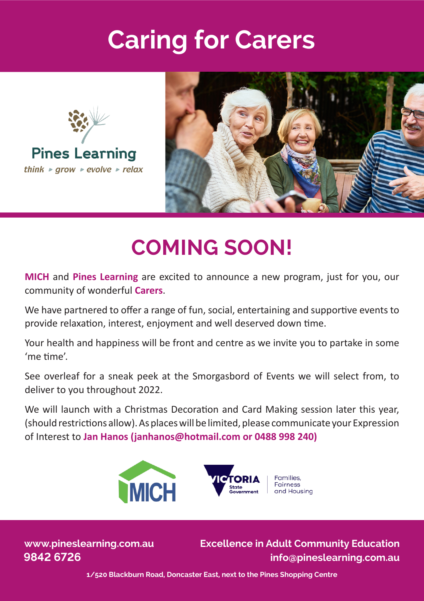## **Caring for Carers**





## **COMING SOON!**

**MICH** and **Pines Learning** are excited to announce a new program, just for you, our community of wonderful **Carers**.

We have partnered to offer a range of fun, social, entertaining and supportive events to provide relaxaton, interest, enjoyment and well deserved down tme.

Your health and happiness will be front and centre as we invite you to partake in some 'me tme'.

See overleaf for a sneak peek at the Smorgasbord of Events we will select from, to deliver to you throughout 2022.

We will launch with a Christmas Decoration and Card Making session later this year, (should restrictons allow). As places will be limited, please communicate your Expression of Interest to **Jan Hanos (janhanos@hotmail.com or 0488 998 240)**



**www.pineslearning.com.au** 

**9842 6726 info@pineslearning.com.au Excellence in Adult Community Education**

**1/520 Blackburn Road, Doncaster East, next to the Pines Shopping Centre**